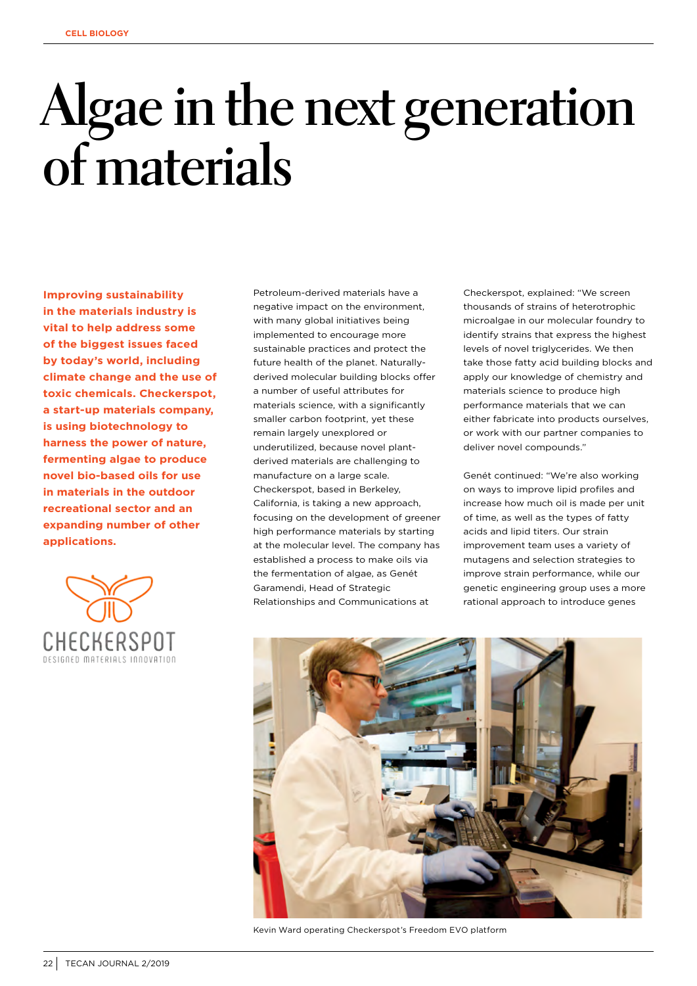## **Algae in the next generation of materials**

**Improving sustainability in the materials industry is vital to help address some of the biggest issues faced by today's world, including climate change and the use of toxic chemicals. Checkerspot, a start-up materials company, is using biotechnology to harness the power of nature, fermenting algae to produce novel bio-based oils for use in materials in the outdoor recreational sector and an expanding number of other applications.** 



Petroleum-derived materials have a negative impact on the environment with many global initiatives being implemented to encourage more sustainable practices and protect the future health of the planet. Naturallyderived molecular building blocks offer a number of useful attributes for materials science, with a significantly smaller carbon footprint, yet these remain largely unexplored or underutilized, because novel plantderived materials are challenging to manufacture on a large scale. Checkerspot, based in Berkeley, California, is taking a new approach, focusing on the development of greener high performance materials by starting at the molecular level. The company has established a process to make oils via the fermentation of algae, as Genét Garamendi, Head of Strategic Relationships and Communications at

Checkerspot, explained: "We screen thousands of strains of heterotrophic microalgae in our molecular foundry to identify strains that express the highest levels of novel triglycerides. We then take those fatty acid building blocks and apply our knowledge of chemistry and materials science to produce high performance materials that we can either fabricate into products ourselves, or work with our partner companies to deliver novel compounds."

Genét continued: "We're also working on ways to improve lipid profiles and increase how much oil is made per unit of time, as well as the types of fatty acids and lipid titers. Our strain improvement team uses a variety of mutagens and selection strategies to improve strain performance, while our genetic engineering group uses a more rational approach to introduce genes



Kevin Ward operating Checkerspot's Freedom EVO platform